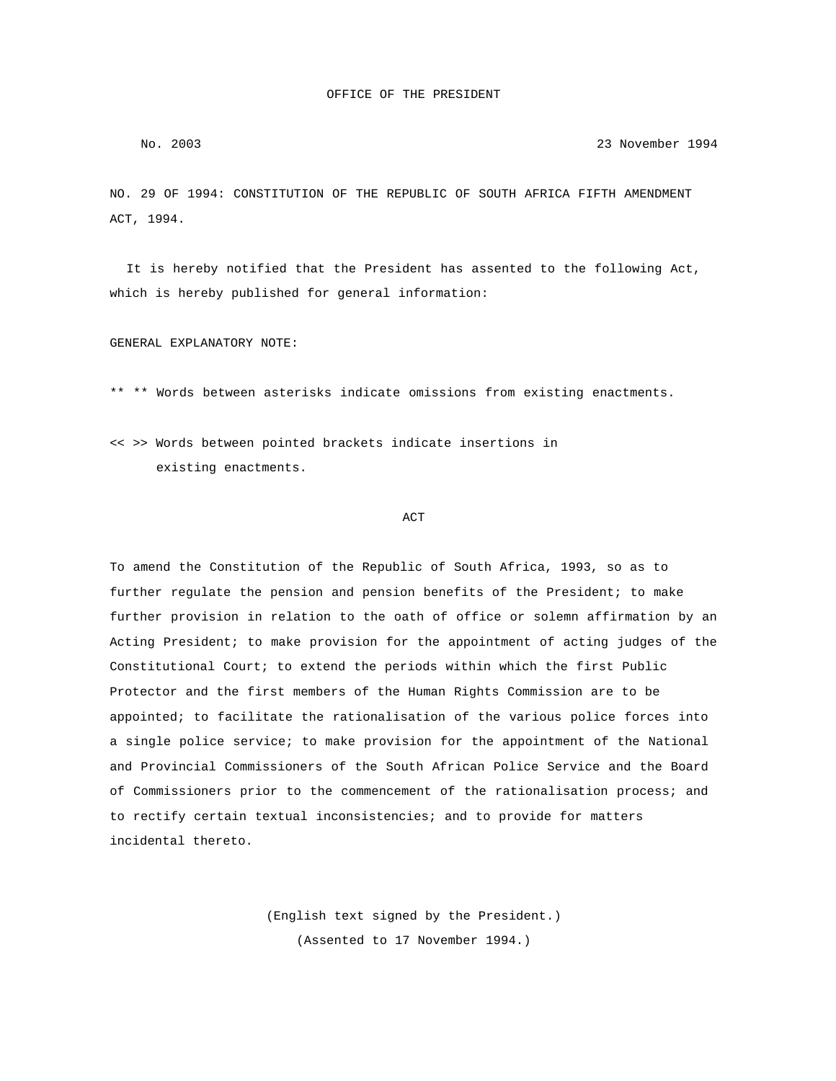## No. 2003 23 November 1994

NO. 29 OF 1994: CONSTITUTION OF THE REPUBLIC OF SOUTH AFRICA FIFTH AMENDMENT ACT, 1994.

 It is hereby notified that the President has assented to the following Act, which is hereby published for general information:

GENERAL EXPLANATORY NOTE:

\*\* \*\* Words between asterisks indicate omissions from existing enactments.

<< >> Words between pointed brackets indicate insertions in existing enactments.

## **ACT**

To amend the Constitution of the Republic of South Africa, 1993, so as to further regulate the pension and pension benefits of the President; to make further provision in relation to the oath of office or solemn affirmation by an Acting President; to make provision for the appointment of acting judges of the Constitutional Court; to extend the periods within which the first Public Protector and the first members of the Human Rights Commission are to be appointed; to facilitate the rationalisation of the various police forces into a single police service; to make provision for the appointment of the National and Provincial Commissioners of the South African Police Service and the Board of Commissioners prior to the commencement of the rationalisation process; and to rectify certain textual inconsistencies; and to provide for matters incidental thereto.

> (English text signed by the President.) (Assented to 17 November 1994.)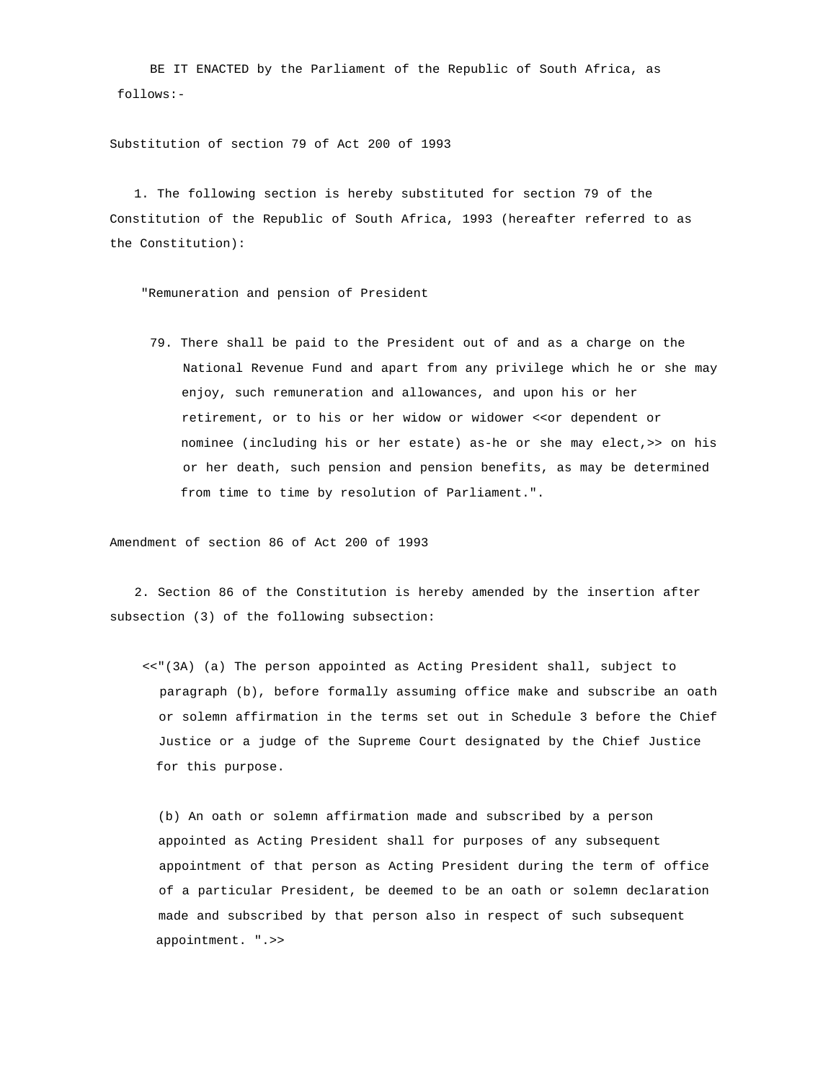BE IT ENACTED by the Parliament of the Republic of South Africa, as follows:-

Substitution of section 79 of Act 200 of 1993

 1. The following section is hereby substituted for section 79 of the Constitution of the Republic of South Africa, 1993 (hereafter referred to as the Constitution):

"Remuneration and pension of President

 79. There shall be paid to the President out of and as a charge on the National Revenue Fund and apart from any privilege which he or she may enjoy, such remuneration and allowances, and upon his or her retirement, or to his or her widow or widower <<or dependent or nominee (including his or her estate) as-he or she may elect,>> on his or her death, such pension and pension benefits, as may be determined from time to time by resolution of Parliament.".

Amendment of section 86 of Act 200 of 1993

 2. Section 86 of the Constitution is hereby amended by the insertion after subsection (3) of the following subsection:

 <<"(3A) (a) The person appointed as Acting President shall, subject to paragraph (b), before formally assuming office make and subscribe an oath or solemn affirmation in the terms set out in Schedule 3 before the Chief Justice or a judge of the Supreme Court designated by the Chief Justice for this purpose.

 (b) An oath or solemn affirmation made and subscribed by a person appointed as Acting President shall for purposes of any subsequent appointment of that person as Acting President during the term of office of a particular President, be deemed to be an oath or solemn declaration made and subscribed by that person also in respect of such subsequent appointment. ".>>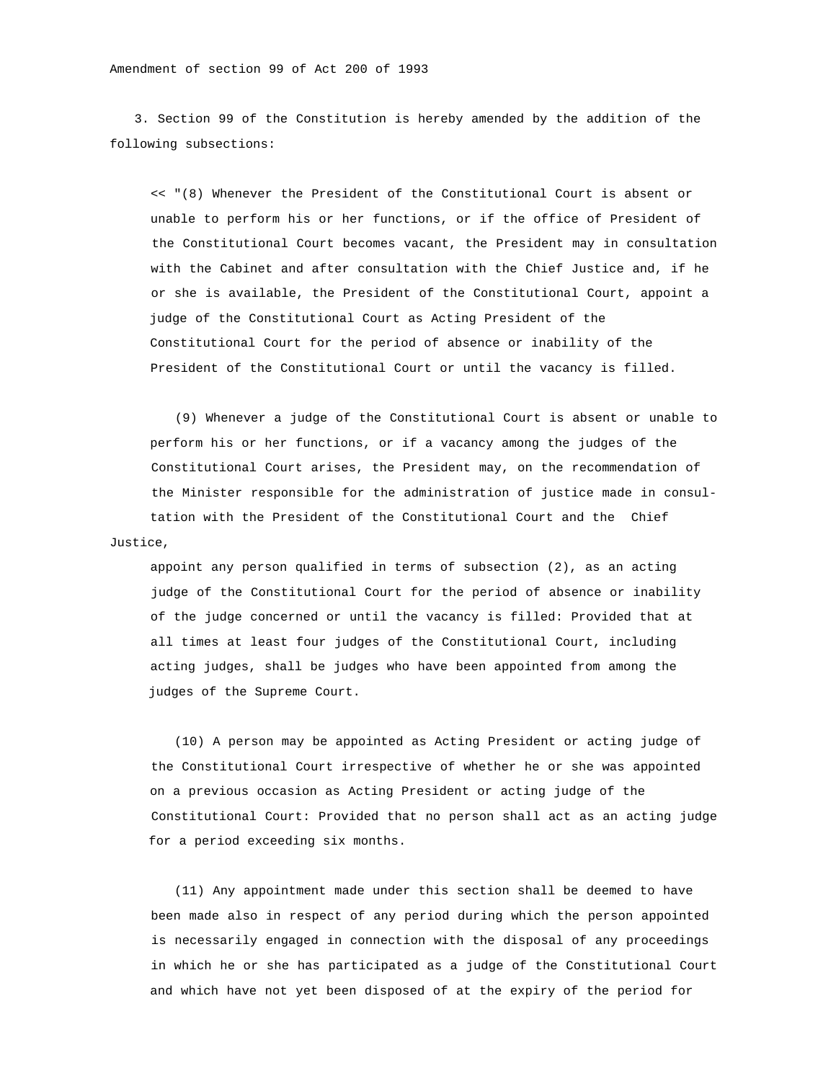3. Section 99 of the Constitution is hereby amended by the addition of the following subsections:

 << "(8) Whenever the President of the Constitutional Court is absent or unable to perform his or her functions, or if the office of President of the Constitutional Court becomes vacant, the President may in consultation with the Cabinet and after consultation with the Chief Justice and, if he or she is available, the President of the Constitutional Court, appoint a judge of the Constitutional Court as Acting President of the Constitutional Court for the period of absence or inability of the President of the Constitutional Court or until the vacancy is filled.

 (9) Whenever a judge of the Constitutional Court is absent or unable to perform his or her functions, or if a vacancy among the judges of the Constitutional Court arises, the President may, on the recommendation of the Minister responsible for the administration of justice made in consul tation with the President of the Constitutional Court and the Chief Justice,

 appoint any person qualified in terms of subsection (2), as an acting judge of the Constitutional Court for the period of absence or inability of the judge concerned or until the vacancy is filled: Provided that at all times at least four judges of the Constitutional Court, including acting judges, shall be judges who have been appointed from among the judges of the Supreme Court.

 (10) A person may be appointed as Acting President or acting judge of the Constitutional Court irrespective of whether he or she was appointed on a previous occasion as Acting President or acting judge of the Constitutional Court: Provided that no person shall act as an acting judge for a period exceeding six months.

 (11) Any appointment made under this section shall be deemed to have been made also in respect of any period during which the person appointed is necessarily engaged in connection with the disposal of any proceedings in which he or she has participated as a judge of the Constitutional Court and which have not yet been disposed of at the expiry of the period for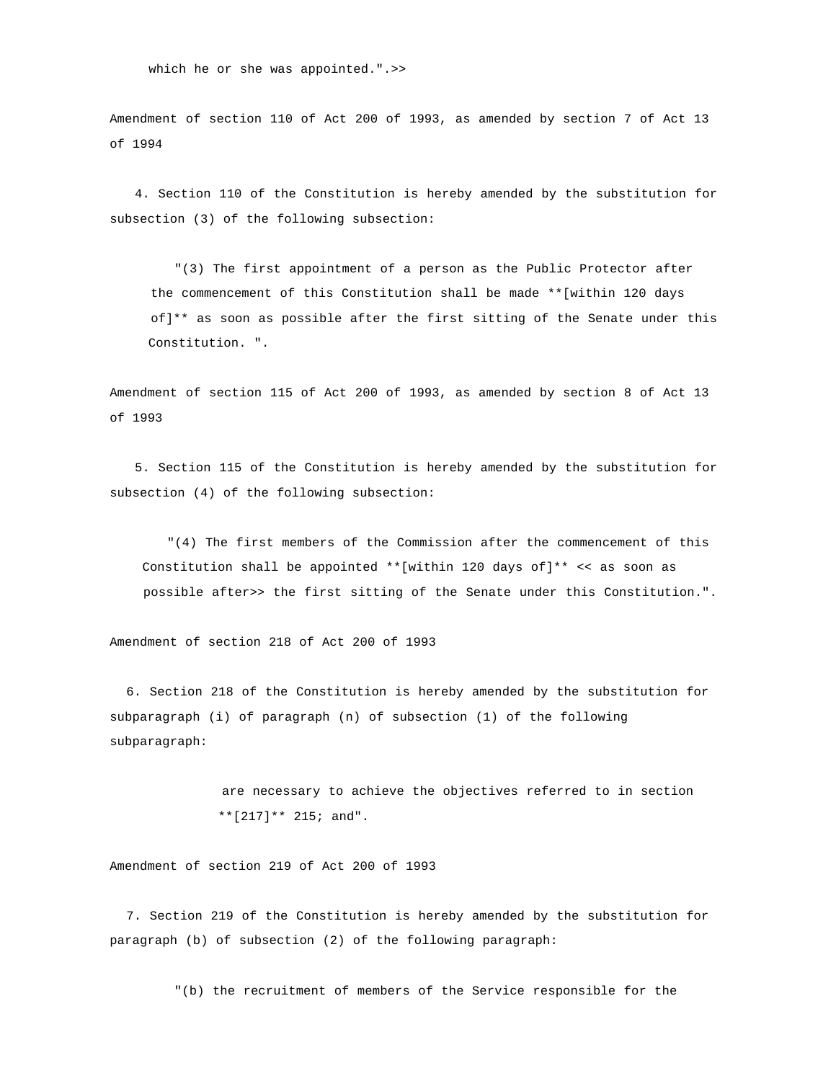which he or she was appointed.".>>

Amendment of section 110 of Act 200 of 1993, as amended by section 7 of Act 13 of 1994

 4. Section 110 of the Constitution is hereby amended by the substitution for subsection (3) of the following subsection:

 "(3) The first appointment of a person as the Public Protector after the commencement of this Constitution shall be made \*\*[within 120 days of]\*\* as soon as possible after the first sitting of the Senate under this Constitution. ".

Amendment of section 115 of Act 200 of 1993, as amended by section 8 of Act 13 of 1993

 5. Section 115 of the Constitution is hereby amended by the substitution for subsection (4) of the following subsection:

 "(4) The first members of the Commission after the commencement of this Constitution shall be appointed \*\*[within 120 days of]\*\* << as soon as possible after>> the first sitting of the Senate under this Constitution.".

Amendment of section 218 of Act 200 of 1993

 6. Section 218 of the Constitution is hereby amended by the substitution for subparagraph (i) of paragraph (n) of subsection (1) of the following subparagraph:

> are necessary to achieve the objectives referred to in section \*\*[217]\*\* 215; and".

Amendment of section 219 of Act 200 of 1993

 7. Section 219 of the Constitution is hereby amended by the substitution for paragraph (b) of subsection (2) of the following paragraph:

"(b) the recruitment of members of the Service responsible for the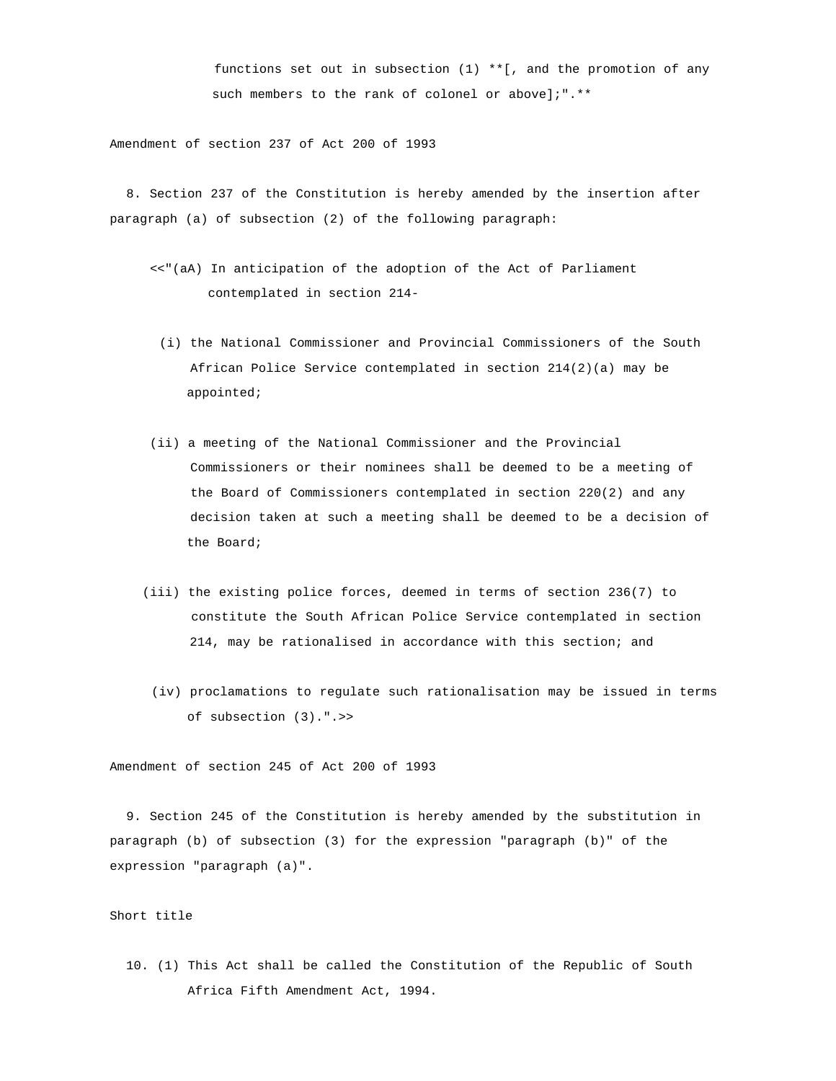functions set out in subsection (1) \*\*[, and the promotion of any such members to the rank of colonel or above];".\*\*

Amendment of section 237 of Act 200 of 1993

 8. Section 237 of the Constitution is hereby amended by the insertion after paragraph (a) of subsection (2) of the following paragraph:

- <<"(aA) In anticipation of the adoption of the Act of Parliament contemplated in section 214-
	- (i) the National Commissioner and Provincial Commissioners of the South African Police Service contemplated in section 214(2)(a) may be appointed;
- (ii) a meeting of the National Commissioner and the Provincial Commissioners or their nominees shall be deemed to be a meeting of the Board of Commissioners contemplated in section 220(2) and any decision taken at such a meeting shall be deemed to be a decision of the Board;
- (iii) the existing police forces, deemed in terms of section 236(7) to constitute the South African Police Service contemplated in section 214, may be rationalised in accordance with this section; and
	- (iv) proclamations to regulate such rationalisation may be issued in terms of subsection (3).".>>

Amendment of section 245 of Act 200 of 1993

 9. Section 245 of the Constitution is hereby amended by the substitution in paragraph (b) of subsection (3) for the expression "paragraph (b)" of the expression "paragraph (a)".

## Short title

 10. (1) This Act shall be called the Constitution of the Republic of South Africa Fifth Amendment Act, 1994.